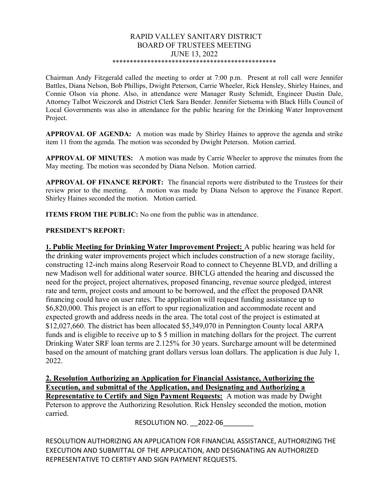#### RAPID VALLEY SANITARY DISTRICT BOARD OF TRUSTEES MEETING JUNE 13, 2022 \*\*\*\*\*\*\*\*\*\*\*\*\*\*\*\*\*\*\*\*\*\*\*\*\*\*\*\*\*\*\*\*\*\*\*\*\*\*\*\*\*\*\*\*\*\*\*

Chairman Andy Fitzgerald called the meeting to order at 7:00 p.m. Present at roll call were Jennifer Battles, Diana Nelson, Bob Phillips, Dwight Peterson, Carrie Wheeler, Rick Hensley, Shirley Haines, and Connie Olson via phone. Also, in attendance were Manager Rusty Schmidt, Engineer Dustin Dale, Attorney Talbot Weiczorek and District Clerk Sara Bender. Jennifer Sietsema with Black Hills Council of Local Governments was also in attendance for the public hearing for the Drinking Water Improvement Project.

APPROVAL OF AGENDA: A motion was made by Shirley Haines to approve the agenda and strike item 11 from the agenda. The motion was seconded by Dwight Peterson. Motion carried.

APPROVAL OF MINUTES: A motion was made by Carrie Wheeler to approve the minutes from the May meeting. The motion was seconded by Diana Nelson. Motion carried.

APPROVAL OF FINANCE REPORT: The financial reports were distributed to the Trustees for their review prior to the meeting. A motion was made by Diana Nelson to approve the Finance Report. Shirley Haines seconded the motion. Motion carried.

ITEMS FROM THE PUBLIC: No one from the public was in attendance.

#### PRESIDENT'S REPORT:

**1. Public Meeting for Drinking Water Improvement Project:** A public hearing was held for the drinking water improvements project which includes construction of a new storage facility, constructing 12-inch mains along Reservoir Road to connect to Cheyenne BLVD, and drilling a new Madison well for additional water source. BHCLG attended the hearing and discussed the need for the project, project alternatives, proposed financing, revenue source pledged, interest rate and term, project costs and amount to be borrowed, and the effect the proposed DANR financing could have on user rates. The application will request funding assistance up to \$6,820,000. This project is an effort to spur regionalization and accommodate recent and expected growth and address needs in the area. The total cost of the project is estimated at \$12,027,660. The district has been allocated \$5,349,070 in Pennington County local ARPA funds and is eligible to receive up to \$ 5 million in matching dollars for the project. The current Drinking Water SRF loan terms are 2.125% for 30 years. Surcharge amount will be determined based on the amount of matching grant dollars versus loan dollars. The application is due July 1, 2022.

2. Resolution Authorizing an Application for Financial Assistance, Authorizing the Execution, and submittal of the Application, and Designating and Authorizing a Representative to Certify and Sign Payment Requests: A motion was made by Dwight

Peterson to approve the Authorizing Resolution. Rick Hensley seconded the motion, motion carried.

RESOLUTION NO. 2022-06

RESOLUTION AUTHORIZING AN APPLICATION FOR FINANCIAL ASSISTANCE, AUTHORIZING THE EXECUTION AND SUBMITTAL OF THE APPLICATION, AND DESIGNATING AN AUTHORIZED REPRESENTATIVE TO CERTIFY AND SIGN PAYMENT REQUESTS.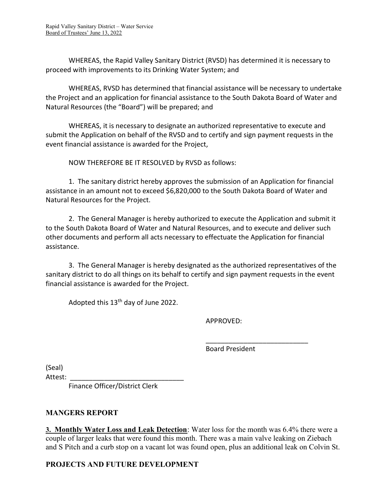WHEREAS, the Rapid Valley Sanitary District (RVSD) has determined it is necessary to proceed with improvements to its Drinking Water System; and

 WHEREAS, RVSD has determined that financial assistance will be necessary to undertake the Project and an application for financial assistance to the South Dakota Board of Water and Natural Resources (the "Board") will be prepared; and

 WHEREAS, it is necessary to designate an authorized representative to execute and submit the Application on behalf of the RVSD and to certify and sign payment requests in the event financial assistance is awarded for the Project,

NOW THEREFORE BE IT RESOLVED by RVSD as follows:

 1. The sanitary district hereby approves the submission of an Application for financial assistance in an amount not to exceed \$6,820,000 to the South Dakota Board of Water and Natural Resources for the Project.

 2. The General Manager is hereby authorized to execute the Application and submit it to the South Dakota Board of Water and Natural Resources, and to execute and deliver such other documents and perform all acts necessary to effectuate the Application for financial assistance.

 3. The General Manager is hereby designated as the authorized representatives of the sanitary district to do all things on its behalf to certify and sign payment requests in the event financial assistance is awarded for the Project.

 $\overline{\phantom{a}}$  , and the contract of the contract of the contract of the contract of the contract of the contract of the contract of the contract of the contract of the contract of the contract of the contract of the contrac

Adopted this 13<sup>th</sup> day of June 2022.

APPROVED:

Board President

(Seal)

Attest:

Finance Officer/District Clerk

# MANGERS REPORT

3. Monthly Water Loss and Leak Detection: Water loss for the month was 6.4% there were a couple of larger leaks that were found this month. There was a main valve leaking on Ziebach and S Pitch and a curb stop on a vacant lot was found open, plus an additional leak on Colvin St.

# PROJECTS AND FUTURE DEVELOPMENT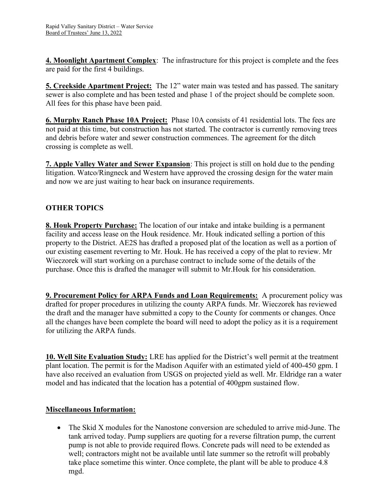4. Moonlight Apartment Complex: The infrastructure for this project is complete and the fees are paid for the first 4 buildings.

**5. Creekside Apartment Project:** The 12" water main was tested and has passed. The sanitary sewer is also complete and has been tested and phase 1 of the project should be complete soon. All fees for this phase have been paid.

6. Murphy Ranch Phase 10A Project: Phase 10A consists of 41 residential lots. The fees are not paid at this time, but construction has not started. The contractor is currently removing trees and debris before water and sewer construction commences. The agreement for the ditch crossing is complete as well.

**7. Apple Valley Water and Sewer Expansion:** This project is still on hold due to the pending litigation. Watco/Ringneck and Western have approved the crossing design for the water main and now we are just waiting to hear back on insurance requirements.

# OTHER TOPICS

8. Houk Property Purchase: The location of our intake and intake building is a permanent facility and access lease on the Houk residence. Mr. Houk indicated selling a portion of this property to the District. AE2S has drafted a proposed plat of the location as well as a portion of our existing easement reverting to Mr. Houk. He has received a copy of the plat to review. Mr Wieczorek will start working on a purchase contract to include some of the details of the purchase. Once this is drafted the manager will submit to Mr.Houk for his consideration.

**9. Procurement Policy for ARPA Funds and Loan Requirements:** A procurement policy was drafted for proper procedures in utilizing the county ARPA funds. Mr. Wieczorek has reviewed the draft and the manager have submitted a copy to the County for comments or changes. Once all the changes have been complete the board will need to adopt the policy as it is a requirement for utilizing the ARPA funds.

10. Well Site Evaluation Study: LRE has applied for the District's well permit at the treatment plant location. The permit is for the Madison Aquifer with an estimated yield of 400-450 gpm. I have also received an evaluation from USGS on projected yield as well. Mr. Eldridge ran a water model and has indicated that the location has a potential of 400gpm sustained flow.

#### Miscellaneous Information:

 The Skid X modules for the Nanostone conversion are scheduled to arrive mid-June. The tank arrived today. Pump suppliers are quoting for a reverse filtration pump, the current pump is not able to provide required flows. Concrete pads will need to be extended as well; contractors might not be available until late summer so the retrofit will probably take place sometime this winter. Once complete, the plant will be able to produce 4.8 mgd.